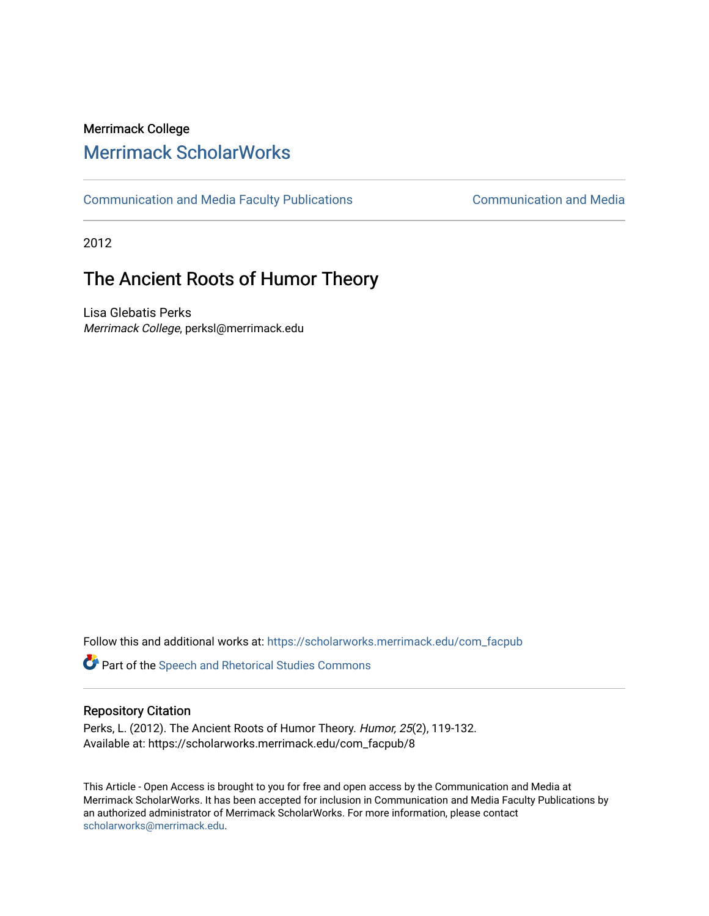# Merrimack College [Merrimack ScholarWorks](https://scholarworks.merrimack.edu/)

[Communication and Media Faculty Publications](https://scholarworks.merrimack.edu/com_facpub) [Communication and Media](https://scholarworks.merrimack.edu/com) 

2012

# The Ancient Roots of Humor Theory

Lisa Glebatis Perks Merrimack College, perksl@merrimack.edu

Follow this and additional works at: [https://scholarworks.merrimack.edu/com\\_facpub](https://scholarworks.merrimack.edu/com_facpub?utm_source=scholarworks.merrimack.edu%2Fcom_facpub%2F8&utm_medium=PDF&utm_campaign=PDFCoverPages) 

**Part of the Speech and Rhetorical Studies Commons** 

## Repository Citation

Perks, L. (2012). The Ancient Roots of Humor Theory. Humor, 25(2), 119-132. Available at: https://scholarworks.merrimack.edu/com\_facpub/8

This Article - Open Access is brought to you for free and open access by the Communication and Media at Merrimack ScholarWorks. It has been accepted for inclusion in Communication and Media Faculty Publications by an authorized administrator of Merrimack ScholarWorks. For more information, please contact [scholarworks@merrimack.edu](mailto:scholarworks@merrimack.edu).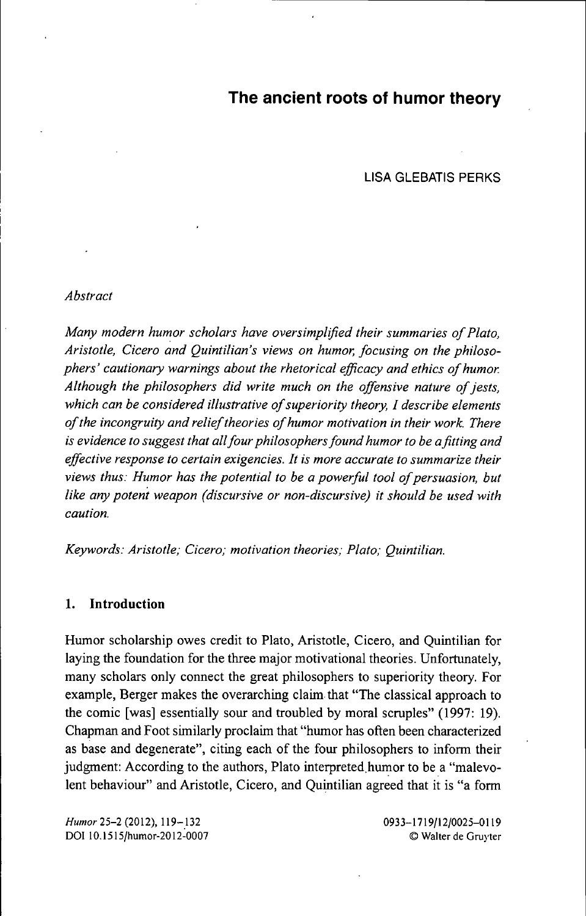# **The ancient roots of humor theory**

#### LISA GLEBATIS PERKS

#### *Abstract*

*Many modern humor scholars have oversimplified their summaries of Plato, Aristotle, Cicero and Quintilian's views on humor, focusing on the philosophers' cautionary warnings about the rhetorical efficacy and ethics of humor Although the philosophers did write much on the offensive nature of jests, which can be considered illustrative of superiority theory, I describe elements of the incongruity and relief theories of humor motivation in their work. There is evidence to suggest that all four philosophers found humor to be a fitting and effective response to certain exigencies. It is more accurate to summarize their views thus: Humor has the potential to be a powerful tool of persuasion, but like any potent weapon (discursive or non-discursive) it should be used with caution.*

*Keywords: Aristotle; Cicero; motivation theories; Plato; Quintilian.*

#### **1. Introduction**

Humor scholarship owes credit to Plato, Aristotle, Cicero, and Quintilian for laying the foundation for the three major motivational theories. Unfortunately, many scholars only connect the great philosophers to superiority theory. For example. Berger makes the overarching claim that "The classical approach to the comic [was] essentially sour and troubled by moral scruples" (1997: 19). Chapman and Foot similarly proclaim that "humor has often been characterized as base and degenerate", citing each of the four philosophers to inform their judgment: According to the authors, Plato interpreted.humor to be a "malevolent behaviour" and Aristotle, Cicero, and Quintilian agreed that it is "a form

*Humor* 25-2 (2012), 119-132 0933-1719/12/0025-0119 DOI 10.1515/humor-2012-0007 © Walter de Gruyter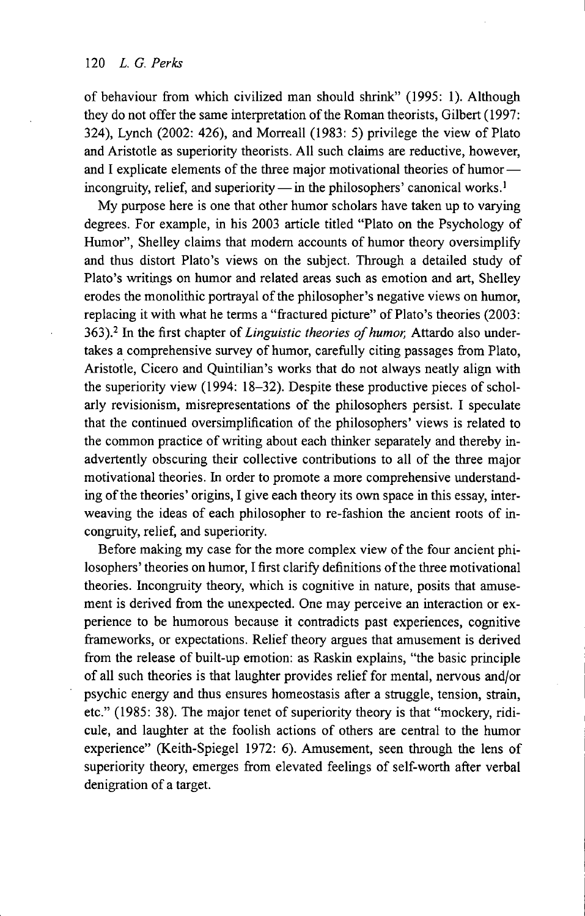of behaviour from which civilized man should shrink" (1995: 1). Although they do not offer the same interpretation of the Roman theorists, Gilbert (1997: 324), Lynch (2002: 426), and Morreall (1983: 5) privilege the view of Plato and Aristotle as superiority theorists. All such claims are reductive, however, and I explicate elements of the three major motivational theories of humor incongruity, relief, and superiority — in the philosophers' canonical works.<sup>1</sup>

My purpose here is one that other humor scholars have taken up to varying degrees. For example, in his 2003 article titled "Plato on the Psychology of Humor", Shelley claims that modem accounts of humor theory oversimplify and thus distort Plato's views on the subject. Through a detailed study of Plato's writings on humor and related areas such as emotion and art, Shelley erodes the monolithic portrayal of the philosopher's negative views on humor, replacing it with what he terms a "fractured picture" of Plato's theories (2003: 363).^ In the first chapter of *Linguistic theories of humor,* Attardo also undertakes a comprehensive survey of humor, carefully citing passages from Plato, Aristotle, Cicero and Quintilian's works that do not always neatly align with the superiority view (1994: 18-32). Despite these productive pieces of scholarly revisionism, misrepresentations of the philosophers persist. I speculate that the continued oversimplification of the philosophers' views is related to the common practice of writing about each thinker separately and thereby inadvertently obscuring their collective contributions to all of the three major motivational theories. In order to promote a more comprehensive understanding of the theories' origins, I give each theory its own space in this essay, interweaving the ideas of each philosopher to re-fashion the ancient roots of incongruity, relief, and superiority.

Before making my case for the more complex view of the four ancient philosophers' theories on humor, I first clarify definitions of the three motivational theories. Incongruity theory, which is cognitive in nature, posits that amusement is derived from the unexpected. One may perceive an interaction or experience to be humorous because it contradicts past experiences, cognitive frameworks, or expectations. Relief theory argues that amusement is derived from the release of built-up emotion: as Raskin explains, "the basic principle of all such theories is that laughter provides relief for mental, nervous and/or psychic energy and thus ensures homeostasis after a struggle, tension, strain, etc." (1985: 38). The major tenet of superiority theory is that "mockery, ridicule, and laughter at the foolish actions of others are central to the humor experience" (Keith-Spiegel 1972: 6). Amusement, seen through the lens of superiority theory, emerges from elevated feelings of self-worth after verbal denigration of a target.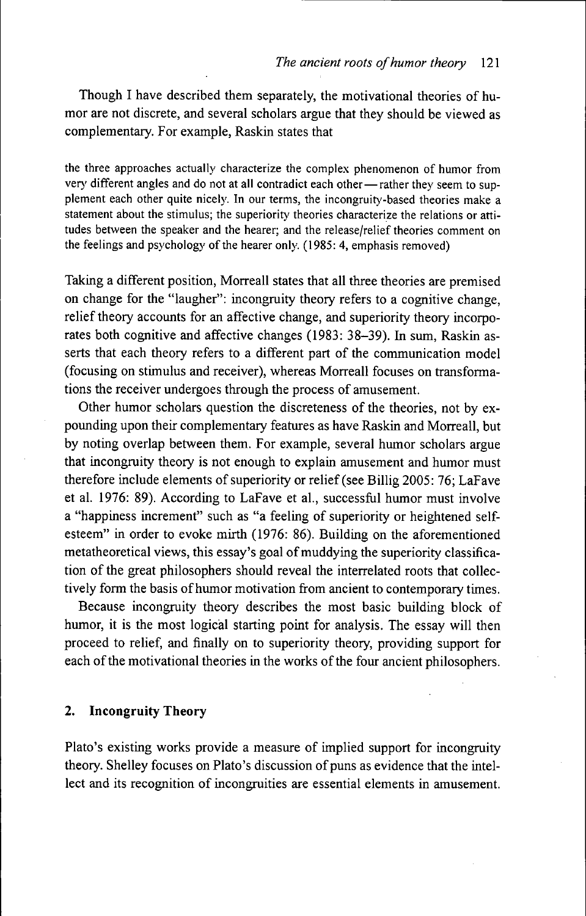Though I have described them separately, the motivational theories of humor are not discrete, and several scholars argue that they should be viewed as complementary. For example, Raskin states that

the three approaches actually characterize the complex phenomenon of humor from very different angles and do not at all contradict each other—rather they seem to supplement each other quite nicely. In our terms, the incongruity-based theories make a statement about the stimulus; the superiority theories characterize the relations or attitudes between the speaker and the hearer; and the release/relief theories comment on the feelings and psychology of the hearer only. (1985: 4, emphasis removed)

Taking a different position, Morreall states that all three theories are premised on change for the "laugher": incongruity theory refers to a cognitive change, relief theory accounts for an affective change, and superiority theory incorporates both cognitive and affective changes (1983: 38-39). In sum, Raskin asserts that each theory refers to a different part of the communication model (focusing on stimulus and receiver), whereas Morreall focuses on transformations the receiver undergoes through the process of amusement.

Qther humor scholars question the discreteness of the theories, not by expounding upon their complementary features as have Raskin and Morreall, but by noting overlap between them. For example, several humor scholars argue that incongruity theory is not enough to explain amusement and humor must therefore include elements of superiority or relief (see Billig 2005: 76; LaFave et al. 1976: 89). According to LaFave et al., successful humor must involve a "happiness increment" such as "a feeling of superiority or heightened selfesteem" in order to evoke mirth (1976: 86). Building on the aforementioned metatheoretical views, this essay's goal of muddying the superiority classification of the great philosophers should reveal the interrelated roots that collectively form the basis of humor motivation from ancient to contemporary times.

Because incongruity theory describes the most basic building block of humor, it is the most logical starting point for analysis. The essay will then proceed to relief, and finally on to superiority theory, providing support for each of the motivational theories in the works of the four ancient philosophers.

## **2. Incongruity Theory**

Plato's existing works provide a measure of implied support for incongruity theory. Shelley focuses on Plato's discussion of puns as evidence that the intellect and its recognition of incongruities are essential elements in amusement.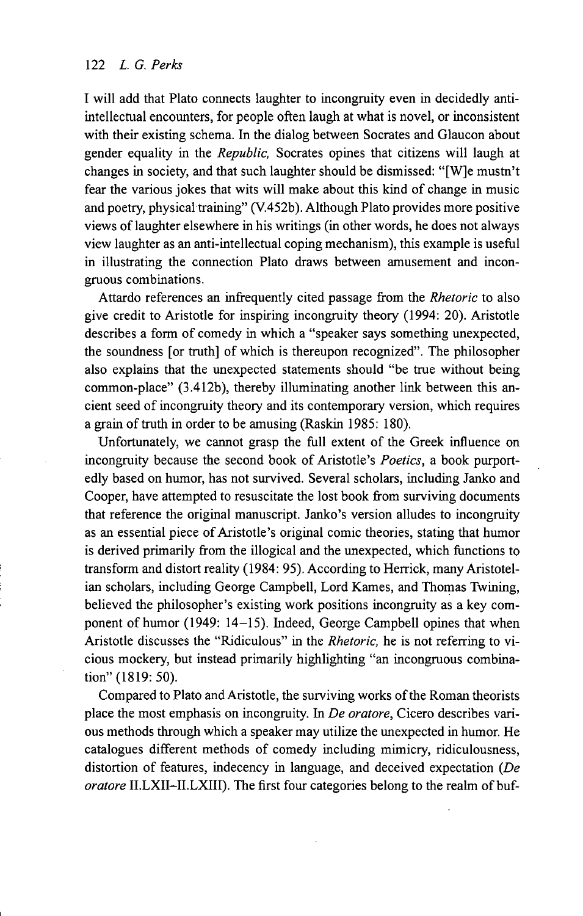I will add that Plato connects laughter to incongruity even in decidedly antiintellectual encounters, for people often laugh at what is novel, or inconsistent with their existing schema. In the dialog between Socrates and Glaucon about gender equality in the *Republic,* Socrates opines that citizens will laugh at changes in society, and that such laughter should be dismissed: "[W]e mustn't fear the various jokes that wits will make about this kind of change in music and poetry, physical training" (V.452b). Although Plato provides more positive views of laughter elsewhere in his writings (in other words, he does not always view laughter as an anti-intellectual coping mechanism), this example is useful in illustrating the cormection Plato draws between amusement and incongruous combinations.

Attardo references an infrequently cited passage from the *Rhetoric* to also give credit to Aristotle for inspiring incongruity theory (1994: 20). Aristotle describes a form of comedy in which a "speaker says something unexpected, the soundness [or truth] of which is thereupon recognized". The philosopher also explains that the unexpected statements should "be true without being common-place" (3.412b), thereby illuminating another link between this ancient seed of incongruity theory and its contemporary version, which requires a grain of truth in order to be amusing (Raskin 1985: 180).

Unfortunately, we cannot grasp the full extent of the Greek influence on incongruity because the second book of Aristotle's *Poetics, a* book purportedly based on humor, has not survived. Several scholars, including Janko and Cooper, have attempted to resuscitate the lost book from surviving documents that reference the original manuscript. Janko's version alludes to incongruity as an essential piece of Aristotle's original comic theories, stating that humor is derived primarily from the illogical and the unexpected, which functions to transform and distort reality (1984: 95). According to Herrick, many Aristotelian scholars, including George Campbell, Lord Kames, and Thomas Twining, believed the philosopher's existing work positions incongruity as a key component of humor (1949: 14-15). Indeed, George Campbell opines that when Aristotle discusses the "Ridiculous" in the *Rhetoric,* he is not referring to vicious mockery, but instead primarily highlighting "an incongruous combination" (1819: 50).

Compared to Plato and Aristotle, the surviving works of the Roman theorists place the most emphasis on incongruity. In *De oratore,* Cicero describes various methods through which a speaker may utilize the unexpected in humor. He catalogues different methods of comedy including mimicry, ridiculousness, distortion of features, indecency in language, and deceived expectation *{De oratore* II.LXII-II.LXIII). The first four categories belong to the realm of buf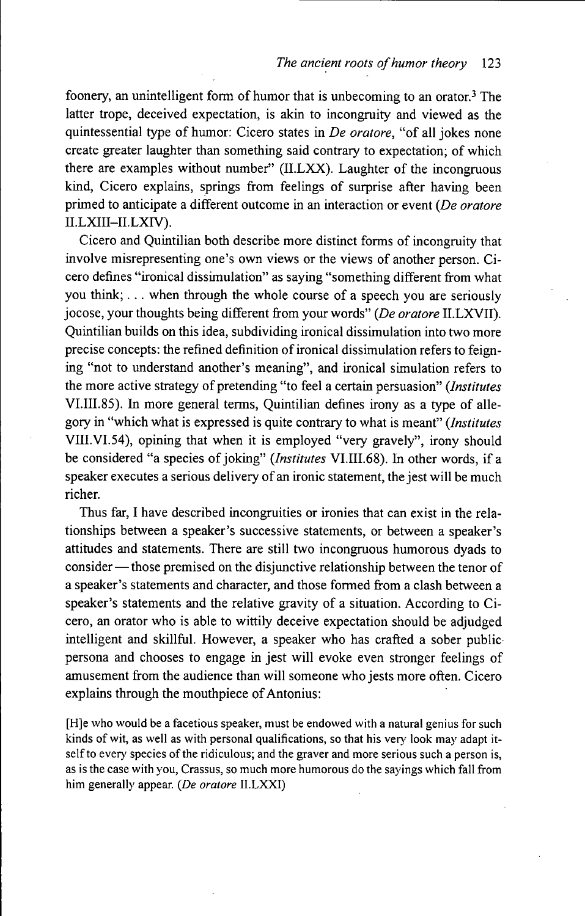foonery, an unintelligent form of humor that is unbecoming to an orator. $3$  The latter trope, deceived expectation, is akin to incongruity and viewed as the quintessential type of humor: Cicero states in *De oratore,* "of all jokes none create greater laughter than something said contrary to expectation; of which there are examples without number" (II.LXX). Laughter of the incongruous kind, Cicero explains, springs from feelings of surprise after having been primed to anticipate a different outcome in an interaction or event *(De oratore* n.LXIII-Il.LXIV).

Cicero and Quintilian both describe more distinct forms of incongruity that involve misrepresenting one's own views or the views of another person. Cicero defines "ironical dissimulation" as saying "something different from what you think;... when through the whole course of a speech you are seriously jocose, your thoughts being different from your words" *(De oratore* Il.LXVII). Quintilian builds on this idea, subdividing ironical dissimulation into two more precise concepts: the refined definition of ironical dissimulation refers to feigning "not to understand another's meaning", and ironical simulation refers to the more active strategy of pretending "to feel a certain persuasion" *(Institutes* VI.III.85). In more general terms, Quintilian defines irony as a type of allegory in "which what is expressed is quite contrary to what is meant" *(Institutes* VIII.VI.54), opining that when it is employed "very gravely", irony should be considered "a species of joking" *(Institutes* VI.II1.68). In other words, if a speaker executes a serious delivery of an ironic statement, the jest will be much richer.

Thus far, I have described incongruities or ironies that can exist in the relationships between a speaker's successive statements, or between a speaker's attitudes and statements. There are still two incongruous humorous dyads to consider — those premised on the disjimctive relationship between the tenor of a speaker's statements and character, and those formed from a clash between a speaker's statements and the relative gravity of a situation. According to Cicero, an orator who is able to wittily deceive expectation should be adjudged intelligent and skillful. However, a speaker who has crafted a sober publicpersona and chooses to engage in jest will evoke even stronger feelings of amusement from the audience than will someone who jests more often. Cicero explains through the mouthpiece of Antonius:

[H]e who would be a facetious speaker, must be endowed with a natural genius for such kinds of wit, as well as with personal qualifications, so that his very look may adapt itself to every species of the ridiculous; and the graver and more serious such a person is, as is the case with you, Crassus, so much more humorous do the sayings which fall from him generally appear. *(De oratore* II.LXXI)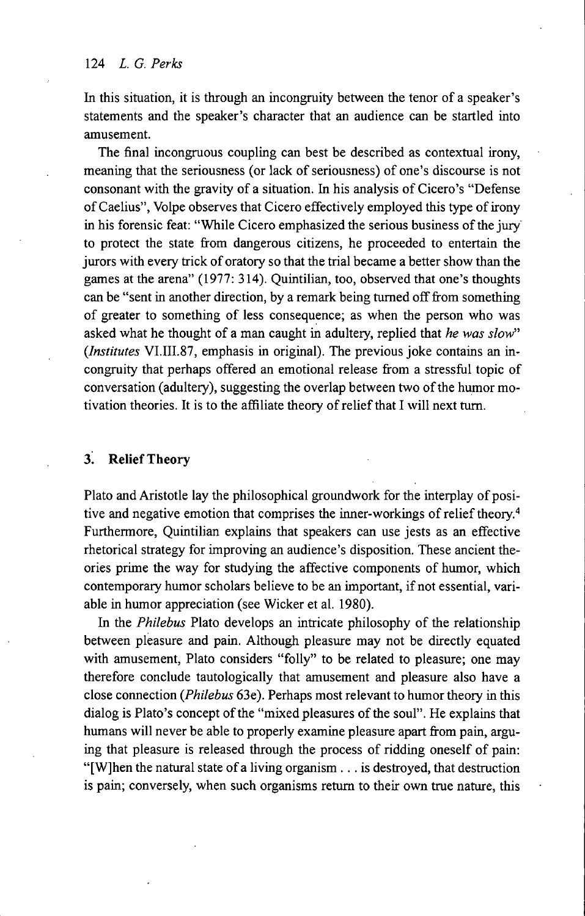In this situation, it is through an incongruity between the tenor of a speaker's statements and the speaker's character that an audience can be startled into amusement.

The final incongruous coupling can best be described as contextual irony, meaning that the seriousness (or lack of seriousness) of one's discourse is not consonant with the gravity of a situation. In his analysis of Cicero's "Defense of Caelius", Volpe observes that Cicero effectively employed this type of irony in his forensic feat: "While Cicero emphasized the serious business of the jury to protect the state from dangerous citizens, he proceeded to entertain the jurors with every trick of oratory so that the trial became a better show than the games at the arena" (1977: 314). Quintilian, too, observed that one's thoughts can be "sent in another direction, by a remark being tumed off from something of greater to something of less consequence; as when the person who was asked what he thought of a man caught in adultery, replied that *he was slow" {Institutes* VI.III.87, emphasis in original). The previous joke contains an incongruity that perhaps offered an emotional release from a stressful topic of conversation (adultery), suggesting the overlap between two of the humor motivation theories. It is to the affiliate theory of relief that I will next tum.

## **3. Relief Theory**

Plato and Aristotle lay the philosophical groundwork for the interplay of positive and negative emotion that comprises the inner-workings of relief theory.<sup>4</sup> Furthermore, Quintilian explains that speakers can use jests as an effective rhetorical strategy for improving an audience's disposition. These ancient theories prime the way for studying the affective components of humor, which contemporary humor scholars believe to be an important, if not essential, variable in humor appreciation (see Wicker et al. 1980).

In the *Philebus* Plato develops an intricate philosophy of the relationship between pleasure and pain. Although pleasure may not be directly equated with amusement, Plato considers "folly" to be related to pleasure; one may therefore conclude tautologically that amusement and pleasure also have a close connection *{Philebus* 63e). Perhaps most relevant to humor theory in this dialog is Plato's concept of the "mixed pleasures of the soul". He explains that humans will never be able to properly examine pleasure apart from pain, arguing that pleasure is released through the process of ridding oneself of pain: "[W]hen the natural state of a living organism .. . is destroyed, that destmction is pain; conversely, when such organisms retum to their own tme nature, this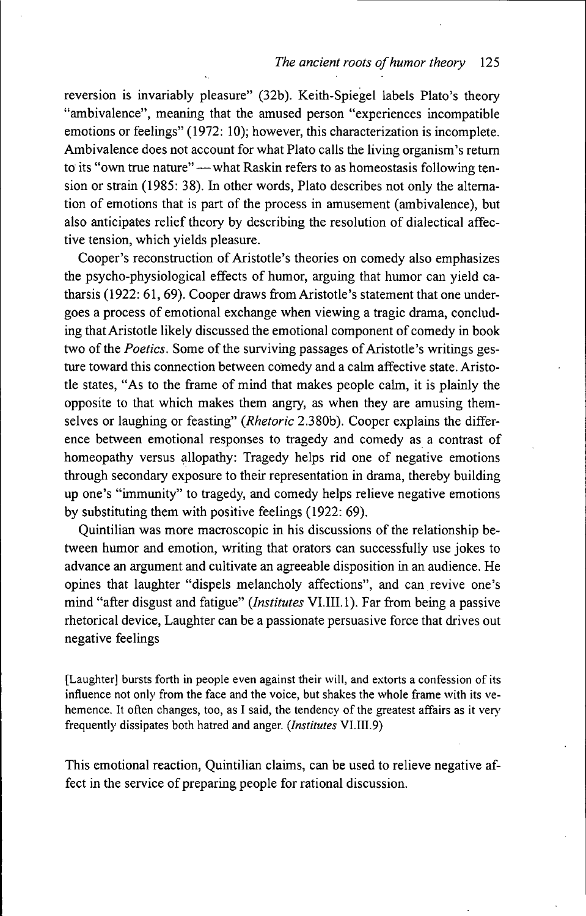reversion is invariably pleasure" (32b). Keith-Spiegel labels Plato's theory "ambivalence", meaning that the amused person "experiences incompatible emotions or feelings" (1972: 10); however, this characterization is incomplete. Ambivalence does not account for what Plato calls the living organism's return to its "own true nature" — what Raskin refers to as homeostasis following tension or strain (1985: 38). In other words, Plato describes not only the alternation of emotions that is part of the process in amusement (ambivalence), but also anticipates relief theory by describing the resolution of dialectical affective tension, which yields pleasure.

Cooper's reconstruction of Aristotle's theories on comedy also emphasizes the psycho-physiological effects of humor, arguing that humor can yield catharsis (1922: 61, 69). Cooper draws from Aristotle's statement that one undergoes a process of emotional exchange when viewing a tragic drama, concluding that Aristotle likely discussed the emotional component of comedy in book two of the *Poetics.* Some of the surviving passages of Aristotle's writings gesture toward this connection between comedy and a calm affective state. Aristotle states, "As to the frame of mind that makes people calm, it is plainly the opposite to that which makes them angry, as when they are amusing themselves or laughing or feasting" *(Rhetoric* 2.380b). Cooper explains the difference between emotional responses to tragedy and comedy as a contrast of homeopathy versus allopathy: Tragedy helps rid one of negative emotions through secondary exposure to their representation in drama, thereby building up one's "immunity" to tragedy, and comedy helps relieve negative emotions by substituting them with positive feelings (1922: 69).

Quintilian was more macroscopic in his discussions of the relationship between humor and emotion, writing that orators can successfully use jokes to advance an argument and cultivate an agreeable disposition in an audience. He opines that laughter "dispels melancholy affections", and can revive one's mind "after disgust and fatigue" *(Institutes* VI.III. 1). Far from being a passive rhetorical device. Laughter can be a passionate persuasive force that drives out negative feelings

[Laughter] bursts forth in people even against their will, and extorts a confession of its influence not only from the face and the voice, but shakes the whole frame with its vehemence. It often changes, too, as I said, the tendency of the greatest affairs as it very frequently dissipates both hatred and anger. *(Institutes* VI.III.9)

This emotional reaction, Quintilian claims, can be used to relieve negative affect in the service of preparing people for rational discussion.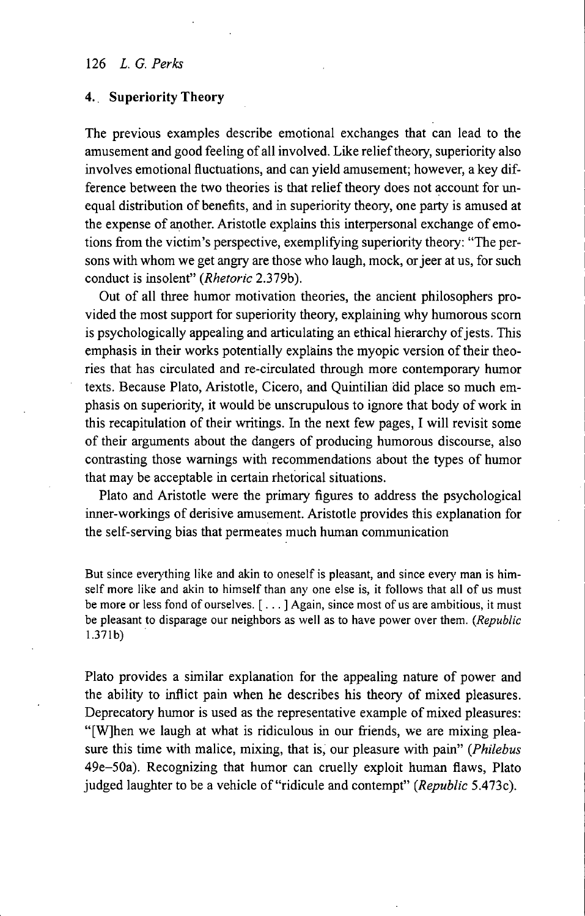### **4. Superiority Theory**

The previous examples describe emotional exchanges that can lead to the amusement and good feeling of all involved. Like relief theory, superiority also involves emotional fluctuations, and can yield amusement; however, a key difference between the two theories is that relief theory does not account for unequal distribution of benefits, and in superiority theory, one party is amused at the expense of another. Aristotle explains this interpersonal exchange of emotions from the victim's perspective, exemplifying superiority theory: "The persons with whom we get angry are those who laugh, mock, or jeer at us, for such conduct is insolent" *{Rhetoric* 2.379b).

Out of all three humor motivation theories, the ancient philosophers provided the most support for superiority theory, explaining why humorous scorn is psychologically appealing and articulating an ethical hierarchy of jests. This emphasis in their works potentially explains the myopic version of their theories that has circulated and re-circulated through more contemporary humor texts. Because Plato, Aristotle, Cicero, and Quintilian did place so much emphasis on superiority, it would be unscrupulous to ignore that body of work in this recapitulation of their writings. In the next few pages, I will revisit some of their arguments about the dangers of producing humorous discourse, also contrasting those warnings with recommendations about the types of humor that may be acceptable in certain rhetorical situations.

Plato and Aristotle were the primary figures to address the psychological inner-workings of derisive amusement. Aristotle provides this explanation for the self-serving bias that permeates much human communication

But since everything like and akin to oneself is pleasant, and since every man is himself more like and akin to himself than any one else is, it follows that all of us must be more or less fond of ourselves. [... ] Again, since most of us are ambitious, it must be pleasant to disparage our neighbors as well as to have power over them. *(Republic* 1.371b)

Plato provides a similar explanation for the appealing nature of power and the ability to inflict pain when he describes his theory of mixed pleasures. Deprecatory humor is used as the representative example of mixed pleasures: "[W]hen we laugh at what is ridiculous in our friends, we are mixing pleasure this time with malice, mixing, that is, our pleasure with pain" *{Philebus* 49e-50a). Recognizing that humor can cruelly exploit human flaws, Plato judged laughter to be a vehicle of "ridicule and contempt" *{Republic* 5.473c).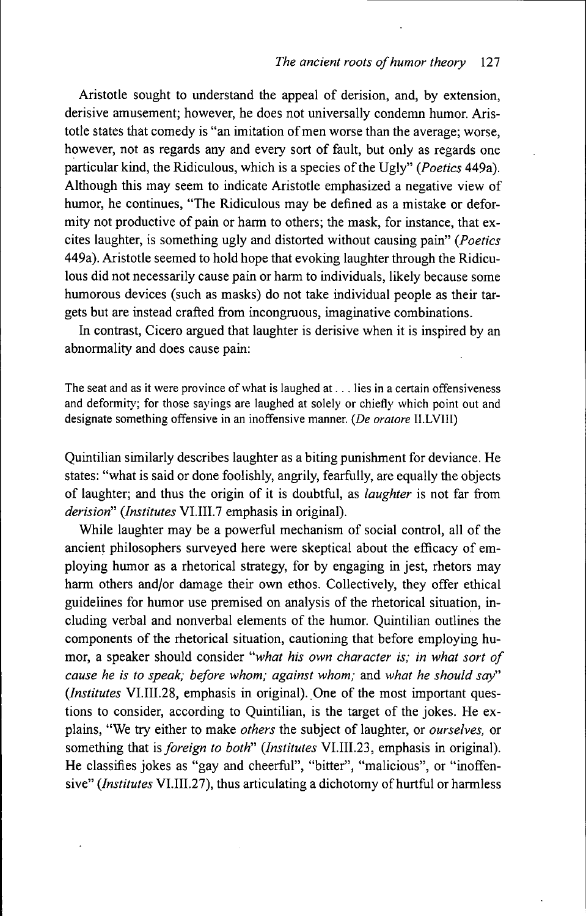Aristotle sought to understand the appeal of derision, and, by extension, derisive amusement; however, he does not universally condemn humor. Aristotle states that comedy is "an imitation of men worse than the average; worse, however, not as regards any and every sort of fault, but only as regards one particular kind, the Ridiculous, which is a species of the Ugly" *{Poetics* 449a). Although this may seem to indicate Aristotle emphasized a negative view of humor, he continues, "The Ridiculous may be defined as a mistake or deformity not productive of pain or harm to others; the mask, for instance, that excites laughter, is something ugly and distorted without causing pain" *{Poetics* 449a). Aristotle seemed to hold hope that evoking laughter through the Ridiculous did not necessarily cause pain or harm to individuals, likely because some humorous devices (such as masks) do not take individual people as their targets but are instead crafted from incongruous, imaginative combinations.

In contrast, Cicero argued that laughter is derisive when it is inspired by an abnormality and does cause pain:

The seat and as it were province of what is laughed at... lies in a certain offensiveness and deformity'; for those sayings are laughed at solely or chiefly which point out and designate something offensive in an inoffensive manner. *(De oratore* II.LVIII)

Quintilian similarly describes laughter as a biting punishment for deviance. He states: "what is said or done foolishly, angrily, fearfully, are equally the objects of laughter; and thus the origin of it is doubtful, as *laughter* is not far from *derision" {Institutes* VI.III.7 emphasis in original).

While laughter may be a powerful mechanism of social control, all of the ancient philosophers surveyed here were skeptical about the efficacy of employing humor as a rhetorical strategy, for by engaging in jest, rhetors may harm others and/or damage their own ethos. Collectively, they offer ethical guidelines for humor use premised on analysis of the rhetorical situation, including verbal and nonverbal elements of the humor. Quintilian outlines the components of the rhetorical situation, cautioning that before employing humor, a speaker should consider *"what his own character is; in what sort of cause he is to speak; before whom; against whom;* and *what he should say" (Institutes VI.III.28, emphasis in original). One of the most important ques*tions to consider, according to Quintilian, is the target of the jokes. He explains, "We try either to make *others* the subject of laughter, or *ourselves,* or something that *is foreign to both" {Institutes* VI.III.23, emphasis in original). He classifies jokes as "gay and cheerful", "bitter", "malicious", or "inoffensive" *{Institutes* VI.III.27), thus articulating a dichotomy of hurtful or harmless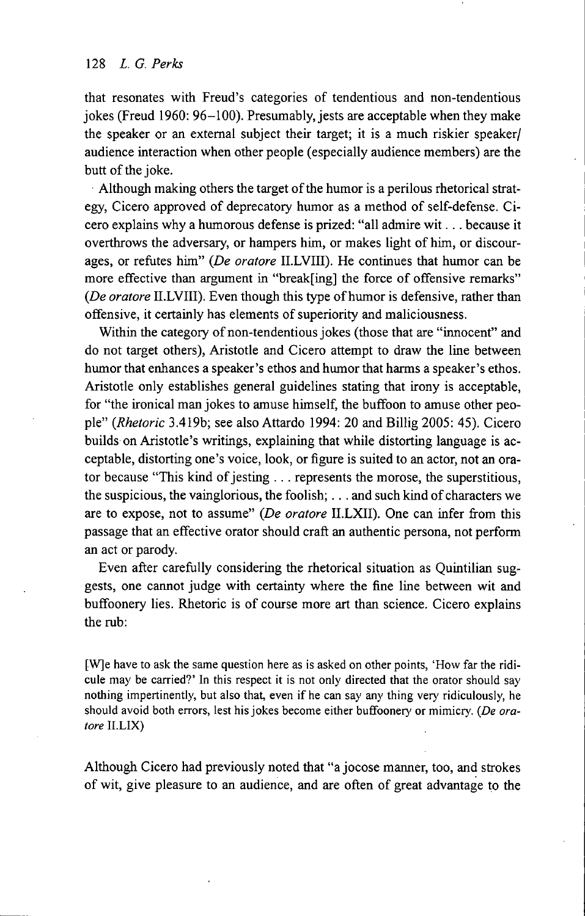that resonates with Freud's categories of tendentious and non-tendentious jokes (Freud 1960: 96-100). Presumably, jests are acceptable when they make the speaker or an external subject their target; it is a much riskier speaker/ audience interaction when other people (especially audience members) are the butt of the joke.

Although making others the target of the humor is a perilous rhetorical strategy, Cicero approved of deprecatory humor as a method of self-defense. Cicero explains why a humorous defense is prized: "all admire wit... because it overthrows the adversary, or hampers him, or makes light of him, or discourages, or refutes him" *(De oratore* II.LVIII). He continues that humor can be more effective than argument in "break[ing] the force of offensive remarks" *(De oratore* II.LVIII). Even though this type of humor is defensive, rather than offensive, it certainly has elements of superiority and maliciousness.

Within the category of non-tendentious jokes (those that are "innocent" and do not target others), Aristotle and Cicero attempt to draw the line between humor that enhances a speaker's ethos and humor that harms a speaker's ethos. Aristotle only establishes general guidelines stating that irony is acceptable, for "the ironical man jokes to amuse himself, the buffoon to amuse other people" *(Rhetoric* 3.419b; see also Attardo 1994: 20 and Billig 2005: 45). Cicero builds on Aristotle's writings, explaining that while distorting language is acceptable, distorting one's voice, look, or figure is suited to an actor, not an orator because "This kind of jesting .. . represents the morose, the superstitious, the suspicious, the vainglorious, the foolish;.. . and such kind of characters we are to expose, not to assume" *(De oratore* II.LXII). One can infer from this passage that an effective orator should craft an authentic persona, not perform an act or parody.

Even after carefiilly considering the rhetorical situation as Quintilian suggests, one cannot judge with certainty where the fine line between wit and buffoonery lies. Rhetoric is of course more art than science. Cicero explains the rub:

[W]e have to ask the same question here as is asked on other points, 'How far the ridicule may be carried?' In this respect it is not only directed that the orator should say nothing impertinently, but also that, even if he can say any thing very ridiculously, he should avoid both errors, lest his jokes become either buffoonery or mimicry. (De ora*tore* II.LIX)

Although Cicero had previously noted that "a jocose manner, too, and strokes of wit, give pleasure to an audience, and are often of great advantage to the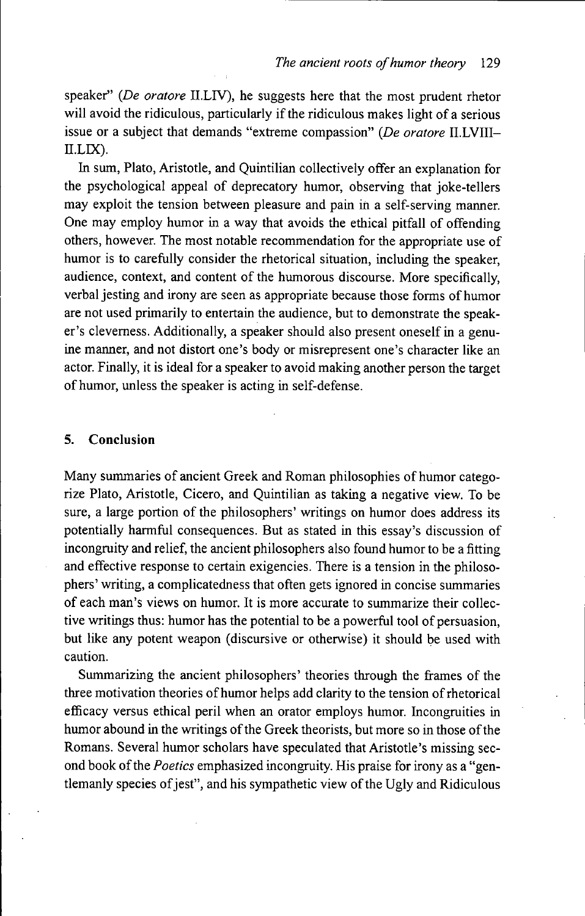speaker" *{De oratore* Il.LIV), he suggests here that the most pmdent rhetor will avoid the ridiculous, particularly if the ridiculous makes light of a serious issue or a subject that demands "extreme compassion" *{De oratore* II.LVIIIn.LIX).

In sum, Plato, Aristotle, and Quintilian collectively offer an explanation for the psychological appeal of deprecatory humor, observing that joke-tellers may exploit the tension between pleasure and pain in a self-serving manner. One may employ humor in a way that avoids the ethical pitfall of offending others, however. The most notable recommendation for the appropriate use of humor is to carefully consider the rhetorical situation, including the speaker, audience, context, and content of the humorous discourse. More specifically, verbal jesting and irony are seen as appropriate because those forms of humor are not used primarily to entertain the audience, but to demonsfrate the speaker's clevemess. Additionally, a speaker should also present oneself in a genuine manner, and not distort one's body or misrepresent one's character like an actor. Finally, it is ideal for a speaker to avoid making another person the target of humor, unless the speaker is acting in self-defense.

#### **5. Conclusion**

Many summaries of ancient Greek and Roman philosophies of humor categorize Plato, Aristotle, Cicero, and Quintilian as taking a negative view. To be sure, a large portion of the philosophers' writings on humor does address its potentially harmful consequences. But as stated in this essay's discussion of incongruity and relief, the ancient philosophers also found humor to be a fitting and effective response to certain exigencies. There is a tension in the philosophers' writing, a complicatedness that often gets ignored in concise summaries of each man's views on humor. It is more accurate to summarize their collective writings thus: humor has the potential to be a powerful tool of persuasion, but like any potent weapon (discursive or otherwise) it should be used with caution.

Summarizing the ancient philosophers' theories through the frames of the three motivation theories of humor helps add clarity to the tension of rhetorical efficacy versus ethical peril when an orator employs humor. Incongruities in humor abound in the writings of the Greek theorists, but more so in those of the Romans. Several humor scholars have speculated that Aristotle's missing second book of the *Poetics* emphasized incongruity. His praise for irony as a "gentlemanly species of jest", and his sympathetic view of the Ugly and Ridiculous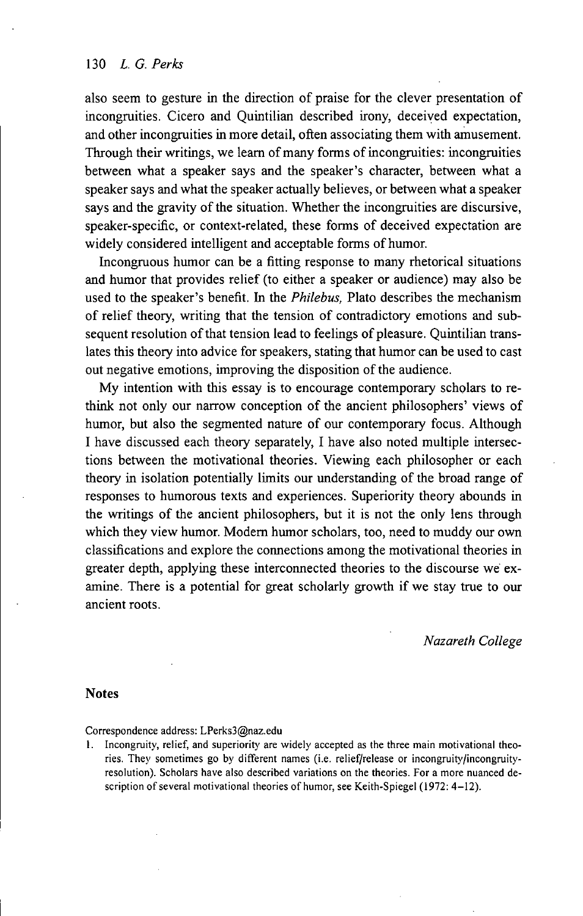also seem to gesture in the direction of praise for the clever presentation of incongruities. Cicero and Quintilian described irony, deceiyed expectation, and other incongruities in more detail, often associating them with amusement. Through their writings, we learn of many forms of incongruities: incongruities between what a speaker says and the speaker's character, between what a speaker says and what the speaker actually believes, or between what a speaker says and the gravity of the situation. Whether the incongruities are discursive, speaker-specific, or context-related, these forms of deceived expectation are widely considered intelligent and acceptable forms of humor.

Incongruous humor can be a fitting response to many rhetorical situations and humor that provides relief (to either a speaker or audience) may also be used to the speaker's benefit. In the *Philebus,* Plato describes the mechanism of relief theory, writing that the tension of contradictory emotions and subsequent resolution of that tension lead to feelings of pleasure. Quintilian translates this theory into advice for speakers, stating that humor can be used to cast out negative emotions, improving the disposition of the audience.

My intention with this essay is to encourage contemporary scholars to rethink not only our narrow conception of the ancient philosophers' views of humor, but also the segmented nature of our contemporary focus. Although I have discussed each theory separately, I have also noted multiple intersections between the motivational theories. Viewing each philosopher or each theory in isolation potentially limits our understanding of the broad range of responses to humorous texts and experiences. Superiority theory abounds in the writings of the ancient philosophers, but it is not the only lens through which they view humor. Modern humor scholars, too, need to muddy our own classifications and explore the connections among the motivational theories in greater depth, applying these interconnected theories to the discourse we examine. There is a potential for great scholarly growth if we stay true to our ancient roots.

*Nazareth College*

#### **Notes**

Correspondence address: LPerks3@naz.edu

1. Incongruity, relief, and superiority are widely accepted as the three main motivational theories. They sometimes go by different names (i.e. relief/release or incongruity/incongruityresolution). Scholars have also described variations on the theories. For a more nuanced description of several motivational theories of humor, see Keith-Spiegel (1972; 4-12).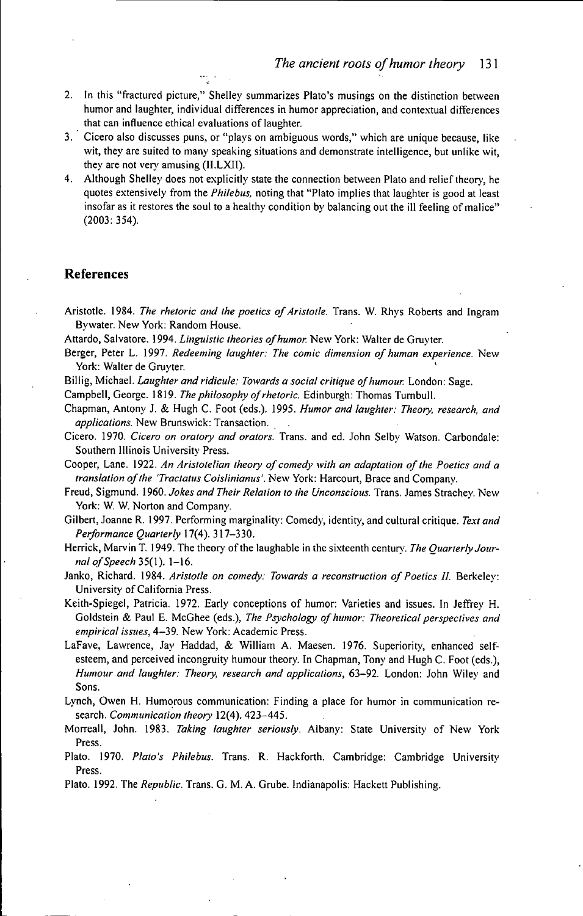- In this "fractured picture," Shelley summarizes Plato's musings on the distinction between humor and laughter, individual differences in humor appreciation, and contextual differences that can influence ethical evaluations of laughter.
- Cicero also discusses puns, or "plays on ambiguous words," which are unique because, like wit, they are suited to many speaking situations and demonstrate intelligence, but unlike wit, they are not very amusing (II.LXII).
- 4. Although Shelley does not explicitly state the connection between Plato and relief theory, he quotes extensively from the *Philebus,* noting that "Plato implies that laughter is good at least insofar as it restores the soul to a healthy condition by balancing out the ill feeling of malice" (2003: 354).

#### **References**

- Aristotle. 1984. *The rhetoric and the poetics of Aristotle.* Trans. W. Rhys Roberts and Ingram Bywater. New York: Random House.
- Attardo, Salvatore. 1994. *Linguistic theories of humor* New York: Walter de Gruyter.
- Berger, Peter L. 1997. *Redeeming laughter: The comic dimension of human experience.* New York: Walter de Gruyter.
- *Q'\\\\%,,M\c\\a.e\. Laughter and ridicule: Towards a social critique of humour* London: Sage.

Campbell, George. 1819. *The philosophy of rhetoric.* Edinburgh: Thomas Tumbull.

- Chapman, Antony J. & Hugh C. Foot (eds.). 1995. *Humor and laughter: Theory, research, and applications.* New Brunswick: Transaction.
- Cicero. 1970. *Cicero on oratory and orators.* Trans, and ed. John Selby Watson. Carbondale: Southem Illinois University Press.
- Cooper, Lane. 1922. *An Aristotelian theory of comedy with an adaptation of the Poetics and a translation of the 'Tractatus Coislinianus'.* New York: Harcourt, Brace and Company.
- Freud, Sigmund. 1960. *Jokes and Their Relation to the Unconscious.* Trans. James Strachey. New York: W. W. Norton and Company.
- Gilbert, Joanne R. 1997. Performing marginality: Comedy, identity, and cultural critique. Text and *Performance Quarterly* 17(4). 317-330.
- Herrick, Marvin T. 1949. The theory of the laughable in the sixteenth century. *The Quarterly Journal of Speech 35(1). l-\6.*
- Janko, Richard. 1984. *Aristotle on comedy: Towards a reconstruction of Poetics 11.* Berkeley: University' of California Press.
- Keith-Spiegel, Patricia. 1972. Early conceptions of humor: Varieties and issues. In Jeffrey H. Goldstein & Paul E. McGhee (eds.). *The Psychology of humor: Theoretical perspectives and empirical issues,* 4-39. New York: Academic Press.
- LaFave, Lawrence, Jay Haddad, & William A. Maesen. 1976. Superiority, enhanced selfesteem, and perceived incongruity humour theory. In Chapman, Tony and Hugh C. Foot (eds.). *Humour and laughter: Theory, research and applications,* 63-92. London: John Wiley and Sons.
- Lynch, Owen H. Humorous communication: Finding a place for humor in communication research. *Communication theory* 12(4). 423-445.
- Morreall, John. 1983. *Taking laughter seriously.* Albany: State University of New York Press.
- Plato. 1970. *Plato's Philebus.* Trans. R. Hackforth. Cambridge: Cambridge University Press.
- Plato. 1992. The *Republic.* Trans. G. M. A. Grube. Indianapolis: Hackett Publishing.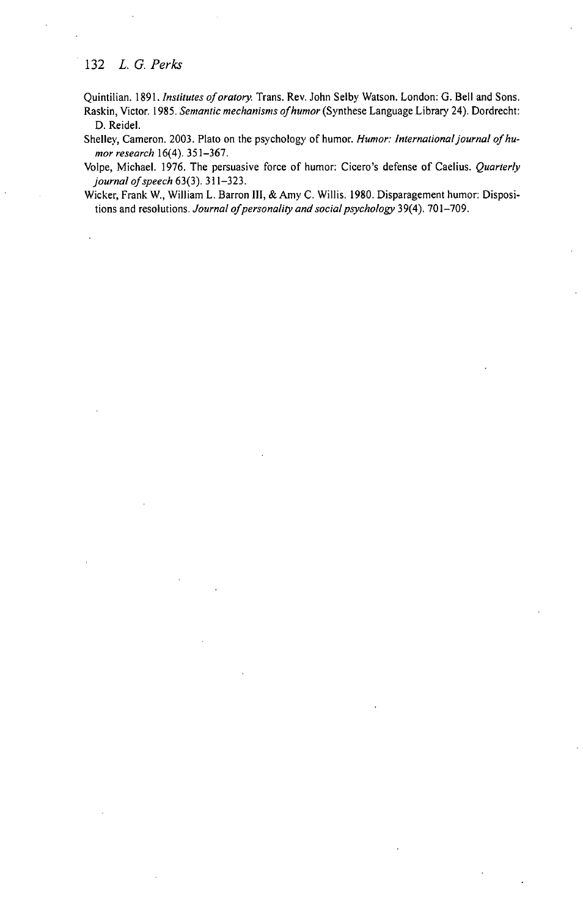Quintilian. 1891. *Institutes of oratory.* Trans. Rev. John Selby Watson. London: G. Bell and Sons. Raskin, Victor. 1985. *Semantic mechanisms of humor* (Synthese Language Library 24). Dordrecht:

- D. Reidel.
- Shelley, Cameron. 2003. Plato on the psychology of humor. *Humor: International journal of humor research* 16(4). 351-367.
- Volpe, Michael. 1976. The persuasive force of humor: Cicero's defense of Caelius. *Quarterly journal of speech* 63(3). 311-323.

Wicker, Frank W., William L. Barron III, & Amy C. Willis. 1980. Disparagement humor: Dispositions and resolutions. *Journal of personality and social psychology* 39(4). 701-709.